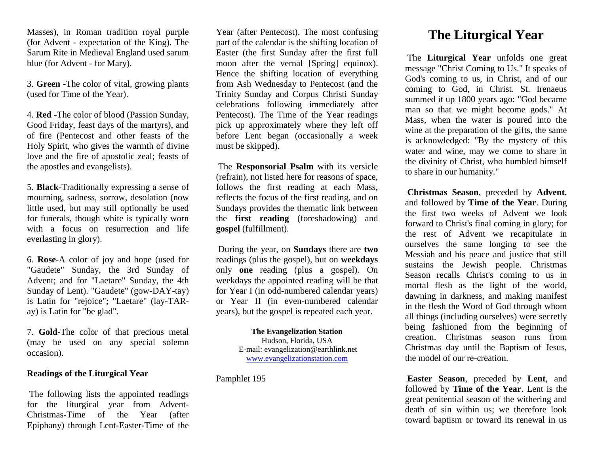Masses), in Roman tradition royal purple (for Advent - expectation of the King). The Sarum Rite in Medieval England used sarum blue (for Advent - for Mary).

3. **Green** -The color of vital, growing plants (used for Time of the Year).

4. **Red** -The color of blood (Passion Sunday, Good Friday, feast days of the martyrs), and of fire (Pentecost and other feasts of the Holy Spirit, who gives the warmth of divine love and the fire of apostolic zeal; feasts of the apostles and evangelists).

5. **Black**-Traditionally expressing a sense of mourning, sadness, sorrow, desolation (now little used, but may still optionally be used for funerals, though white is typically worn with a focus on resurrection and life everlasting in glory).

6. **Rose**-A color of joy and hope (used for "Gaudete" Sunday, the 3rd Sunday of Advent; and for "Laetare" Sunday, the 4th Sunday of Lent). "Gaudete" (gow-DAY-tay) is Latin for "rejoice"; "Laetare" (lay-TARay) is Latin for "be glad".

7. **Gold**-The color of that precious metal (may be used on any special solemn occasion).

### **Readings of the Liturgical Year**

The following lists the appointed readings for the liturgical year from Advent-Christmas-Time of the Year (after Epiphany) through Lent-Easter-Time of the Year (after Pentecost). The most confusing part of the calendar is the shifting location of Easter (the first Sunday after the first full moon after the vernal [Spring] equinox). Hence the shifting location of everything from Ash Wednesday to Pentecost (and the Trinity Sunday and Corpus Christi Sunday celebrations following immediately after Pentecost). The Time of the Year readings pick up approximately where they left off before Lent began (occasionally a week must be skipped).

The **Responsorial Psalm** with its versicle (refrain), not listed here for reasons of space, follows the first reading at each Mass, reflects the focus of the first reading, and on Sundays provides the thematic link between the **first reading** (foreshadowing) and **gospel** (fulfillment).

During the year, on **Sundays** there are **two** readings (plus the gospel), but on **weekdays**  only **one** reading (plus a gospel). On weekdays the appointed reading will be that for Year I (in odd-numbered calendar years) or Year II (in even-numbered calendar years), but the gospel is repeated each year.

#### **The Evangelization Station** Hudson, Florida, USA E-mail: evangelization@earthlink.net [www.evangelizationstation.com](http://www.pjpiisoe.org/)

Pamphlet 195

# **The Liturgical Year**

The **Liturgical Year** unfolds one great message "Christ Coming to Us." It speaks of God's coming to us, in Christ, and of our coming to God, in Christ. St. Irenaeus summed it up 1800 years ago: "God became man so that we might become gods." At Mass, when the water is poured into the wine at the preparation of the gifts, the same is acknowledged: "By the mystery of this water and wine, may we come to share in the divinity of Christ, who humbled himself to share in our humanity."

**Christmas Season**, preceded by **Advent**, and followed by **Time of the Year**. During the first two weeks of Advent we look forward to Christ's final coming in glory; for the rest of Advent we recapitulate in ourselves the same longing to see the Messiah and his peace and justice that still sustains the Jewish people. Christmas Season recalls Christ's coming to us in mortal flesh as the light of the world, dawning in darkness, and making manifest in the flesh the Word of God through whom all things (including ourselves) were secretly being fashioned from the beginning of creation. Christmas season runs from Christmas day until the Baptism of Jesus, the model of our re-creation.

**Easter Season**, preceded by **Lent**, and followed by **Time of the Year**. Lent is the great penitential season of the withering and death of sin within us; we therefore look toward baptism or toward its renewal in us